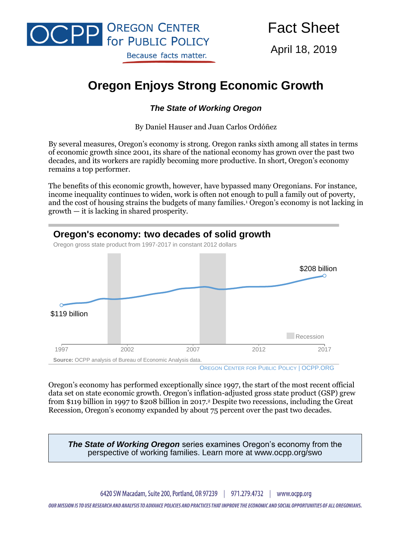

April 18, 2019

# **Oregon Enjoys Strong Economic Growth**

#### *The State of Working Oregon*

By Daniel Hauser and Juan Carlos Ordóñez

By several measures, Oregon's economy is strong. Oregon ranks sixth among all states in terms of economic growth since 2001, its share of the national economy has grown over the past two decades, and its workers are rapidly becoming more productive. In short, Oregon's economy remains a top performer.

The benefits of this economic growth, however, have bypassed many Oregonians. For instance, income inequality continues to widen, work is often not enough to pull a family out of poverty, and the cost of housing strains the budgets of many families.<sup>1</sup> Oregon's economy is not lacking in growth — it is lacking in shared prosperity.



OREGON CENTER FOR PUBLIC POLICY | OCPP.ORG

Oregon's economy has performed exceptionally since 1997, the start of the most recent official data set on state economic growth. Oregon's inflation-adjusted gross state product (GSP) grew from \$119 billion in 1997 to \$208 billion in 2017.<sup>2</sup> Despite two recessions, including the Great Recession, Oregon's economy expanded by about 75 percent over the past two decades.

*The State of Working Oregon* series examines Oregon's economy from the perspective of working families. Learn more at www.ocpp.org/swo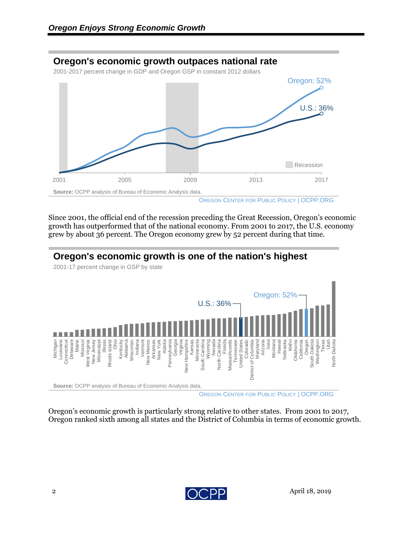## **Oregon's economic growth outpaces national rate**

2001-2017 percent change in GDP and Oregon GSP in constant 2012 dollars



OREGON CENTER FOR PUBLIC POLICY | OCPP.ORG

Since 2001, the official end of the recession preceding the Great Recession, Oregon's economic growth has outperformed that of the national economy. From 2001 to 2017, the U.S. economy grew by about 36 percent. The Oregon economy grew by 52 percent during that time.

## **Oregon's economic growth is one of the nation's highest**

2001-17 percent change in GSP by state



Oregon's economic growth is particularly strong relative to other states. From 2001 to 2017, Oregon ranked sixth among all states and the District of Columbia in terms of economic growth.

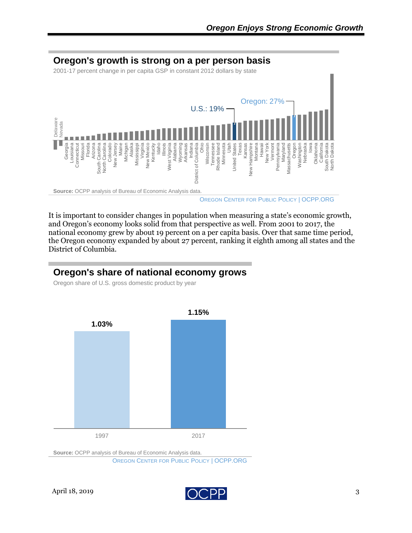

It is important to consider changes in population when measuring a state's economic growth, and Oregon's economy looks solid from that perspective as well. From 2001 to 2017, the national economy grew by about 19 percent on a per capita basis. Over that same time period, the Oregon economy expanded by about 27 percent, ranking it eighth among all states and the District of Columbia.

#### **Oregon's share of national economy grows**

Oregon share of U.S. gross domestic product by year



**Source:** OCPP analysis of Bureau of Economic Analysis data.

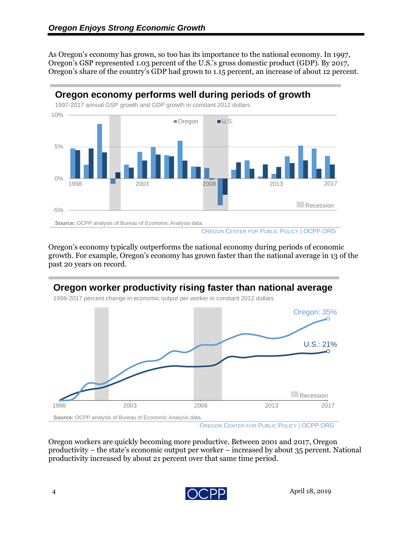As Oregon's economy has grown, so too has its importance to the national economy. In 1997, Oregon's GSP represented 1.03 percent of the U.S.'s gross domestic product (GDP). By 2017, Oregon's share of the country's GDP had grown to 1.15 percent, an increase of about 12 percent.



Oregon's economy typically outperforms the national economy during periods of economic growth. For example, Oregon's economy has grown faster than the national average in 13 of the past 20 years on record.



OREGON CENTER FOR PUBLIC POLICY | OCPP.ORG

Oregon workers are quickly becoming more productive. Between 2001 and 2017, Oregon productivity – the state's economic output per worker – increased by about 35 percent. National productivity increased by about 21 percent over that same time period.